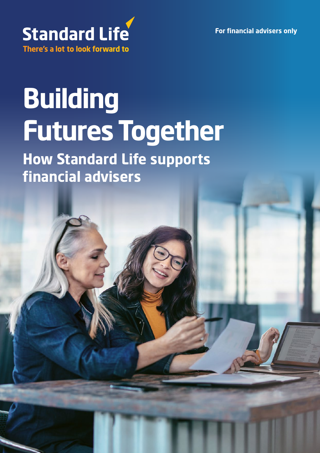**For financial advisers only**



# **Building Futures Together**

**How Standard Life supports financial advisers**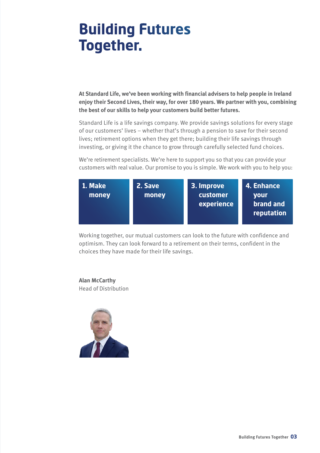## **Building Futures Together.**

**At Standard Life, we've been working with financial advisers to help people in Ireland enjoy their Second Lives, their way, for over 180 years. We partner with you, combining the best of our skills to help your customers build better futures.**

Standard Life is a life savings company. We provide savings solutions for every stage of our customers' lives – whether that's through a pension to save for their second lives; retirement options when they get there; building their life savings through investing, or giving it the chance to grow through carefully selected fund choices.

We're retirement specialists. We're here to support you so that you can provide your customers with real value. Our promise to you is simple. We work with you to help you:



Working together, our mutual customers can look to the future with confidence and optimism. They can look forward to a retirement on their terms, confident in the choices they have made for their life savings.

#### **Alan McCarthy**

Head of Distribution

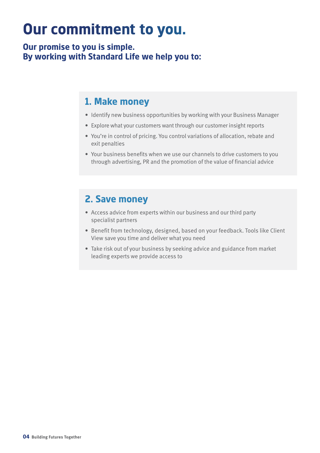## **Our commitment to you.**

**Our promise to you is simple. By working with Standard Life we help you to:**

#### **1. Make money**

- Identify new business opportunities by working with your Business Manager
- Explore what your customers want through our customer insight reports
- You're in control of pricing. You control variations of allocation, rebate and exit penalties
- Your business benefits when we use our channels to drive customers to you through advertising, PR and the promotion of the value of financial advice

#### **2. Save money**

- Access advice from experts within our business and our third party specialist partners
- Benefit from technology, designed, based on your feedback. Tools like Client View save you time and deliver what you need
- Take risk out of your business by seeking advice and guidance from market leading experts we provide access to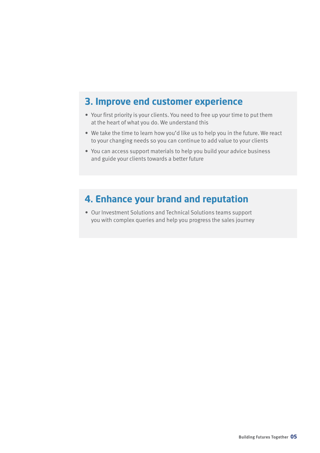#### **3. Improve end customer experience**

- Your first priority is your clients. You need to free up your time to put them at the heart of what you do. We understand this
- We take the time to learn how you'd like us to help you in the future. We react to your changing needs so you can continue to add value to your clients
- You can access support materials to help you build your advice business and guide your clients towards a better future

#### **4. Enhance your brand and reputation**

• Our Investment Solutions and Technical Solutions teams support you with complex queries and help you progress the sales journey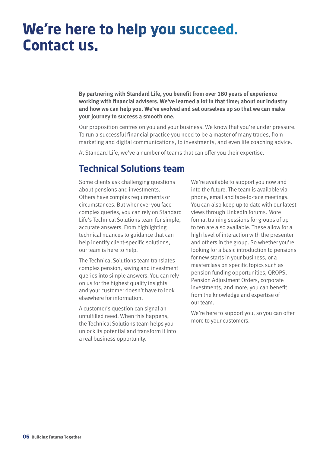## **We're here to help you succeed. Contact us.**

**By partnering with Standard Life, you benefit from over 180 years of experience working with financial advisers. We've learned a lot in that time; about our industry and how we can help you. We've evolved and set ourselves up so that we can make your journey to success a smooth one.** 

Our proposition centres on you and your business. We know that you're under pressure. To run a successful financial practice you need to be a master of many trades, from marketing and digital communications, to investments, and even life coaching advice.

At Standard Life, we've a number of teams that can offer you their expertise.

#### **Technical Solutions team**

Some clients ask challenging questions about pensions and investments. Others have complex requirements or circumstances. But whenever you face complex queries, you can rely on Standard Life's Technical Solutions team for simple, accurate answers. From highlighting technical nuances to guidance that can help identify client-specific solutions, our team is here to help.

The Technical Solutions team translates complex pension, saving and investment queries into simple answers. You can rely on us for the highest quality insights and your customer doesn't have to look elsewhere for information.

A customer's question can signal an unfulfilled need. When this happens, the Technical Solutions team helps you unlock its potential and transform it into a real business opportunity.

We're available to support you now and into the future. The team is available via phone, email and face-to-face meetings. You can also keep up to date with our latest views through LinkedIn forums. More formal training sessions for groups of up to ten are also available. These allow for a high level of interaction with the presenter and others in the group. So whether you're looking for a basic introduction to pensions for new starts in your business, or a masterclass on specific topics such as pension funding opportunities, QROPS, Pension Adjustment Orders, corporate investments, and more, you can benefit from the knowledge and expertise of our team.

We're here to support you, so you can offer more to your customers.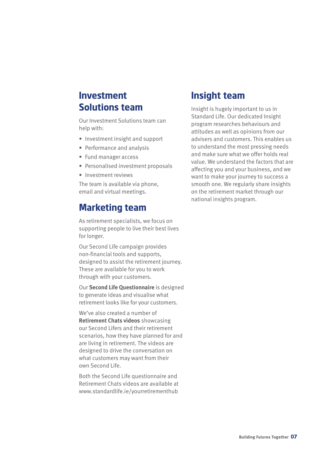#### **Investment Solutions team**

Our Investment Solutions team can help with:

- Investment insight and support
- Performance and analysis
- Fund manager access
- Personalised investment proposals
- Investment reviews

The team is available via phone, email and virtual meetings.

#### **Marketing team**

As retirement specialists, we focus on supporting people to live their best lives for longer.

Our Second Life campaign provides non-financial tools and supports, designed to assist the retirement journey. These are available for you to work through with your customers.

Our **Second Life Questionnaire** is designed to generate ideas and visualise what retirement looks like for your customers.

We've also created a number of **Retirement Chats videos** showcasing our Second Lifers and their retirement scenarios, how they have planned for and are living in retirement. The videos are designed to drive the conversation on what customers may want from their own Second Life.

Both the Second Life questionnaire and Retirement Chats videos are available at www.standardlife.ie/yourretirementhub

#### **Insight team**

Insight is hugely important to us in Standard Life. Our dedicated Insight program researches behaviours and attitudes as well as opinions from our advisers and customers. This enables us to understand the most pressing needs and make sure what we offer holds real value. We understand the factors that are affecting you and your business, and we want to make your journey to success a smooth one. We regularly share insights on the retirement market through our national insights program.